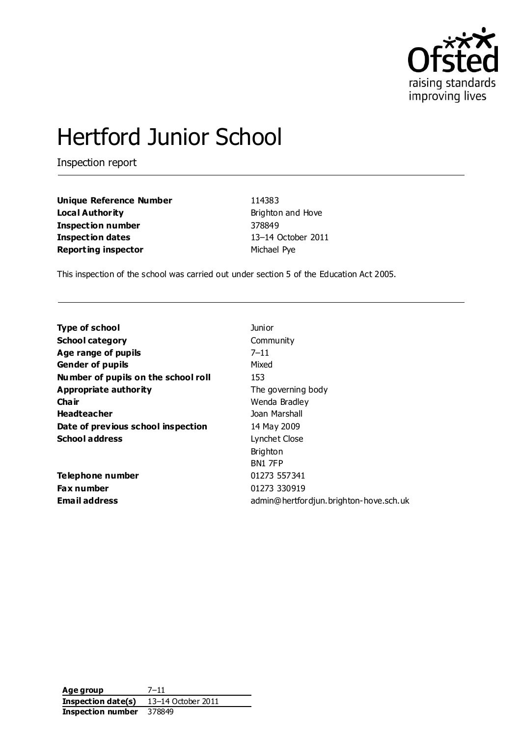

# Hertford Junior School

Inspection report

**Unique Reference Number** 114383 **Local Authority Brighton and Hove Inspection number** 378849 **Inspection dates** 13–14 October 2011 **Reporting inspector** Michael Pye

This inspection of the school was carried out under section 5 of the Education Act 2005.

| <b>Type of school</b>               | <b>Junior</b>                          |
|-------------------------------------|----------------------------------------|
| <b>School category</b>              | Community                              |
| Age range of pupils                 | $7 - 11$                               |
| <b>Gender of pupils</b>             | Mixed                                  |
| Number of pupils on the school roll | 153                                    |
| Appropriate authority               | The governing body                     |
| Cha ir                              | Wenda Bradley                          |
| <b>Headteacher</b>                  | Joan Marshall                          |
| Date of previous school inspection  | 14 May 2009                            |
| <b>School address</b>               | Lynchet Close                          |
|                                     | <b>Brighton</b>                        |
|                                     | BN1 7FP                                |
| Telephone number                    | 01273 557341                           |
| <b>Fax number</b>                   | 01273 330919                           |
| <b>Email address</b>                | admin@hertfordjun.brighton-hove.sch.uk |

**Age group** 7–11 **Inspection date(s)** 13–14 October 2011 **Inspection number** 378849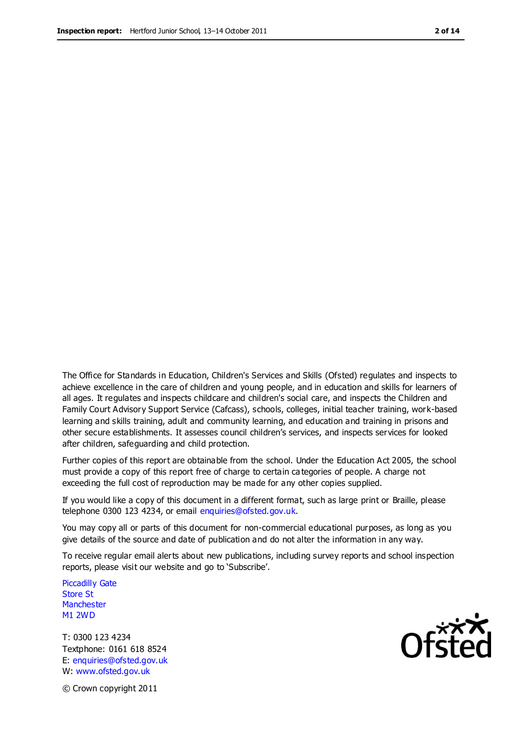The Office for Standards in Education, Children's Services and Skills (Ofsted) regulates and inspects to achieve excellence in the care of children and young people, and in education and skills for learners of all ages. It regulates and inspects childcare and children's social care, and inspects the Children and Family Court Advisory Support Service (Cafcass), schools, colleges, initial teacher training, work-based learning and skills training, adult and community learning, and education and training in prisons and other secure establishments. It assesses council children's services, and inspects services for looked after children, safeguarding and child protection.

Further copies of this report are obtainable from the school. Under the Education Act 2005, the school must provide a copy of this report free of charge to certain ca tegories of people. A charge not exceeding the full cost of reproduction may be made for any other copies supplied.

If you would like a copy of this document in a different format, such as large print or Braille, please telephone 0300 123 4234, or email enquiries@ofsted.gov.uk.

You may copy all or parts of this document for non-commercial educational purposes, as long as you give details of the source and date of publication and do not alter the information in any way.

To receive regular email alerts about new publications, including survey reports and school inspection reports, please visit our website and go to 'Subscribe'.

Piccadilly Gate Store St **Manchester** M1 2WD

T: 0300 123 4234 Textphone: 0161 618 8524 E: enquiries@ofsted.gov.uk W: www.ofsted.gov.uk

**Ofsted** 

© Crown copyright 2011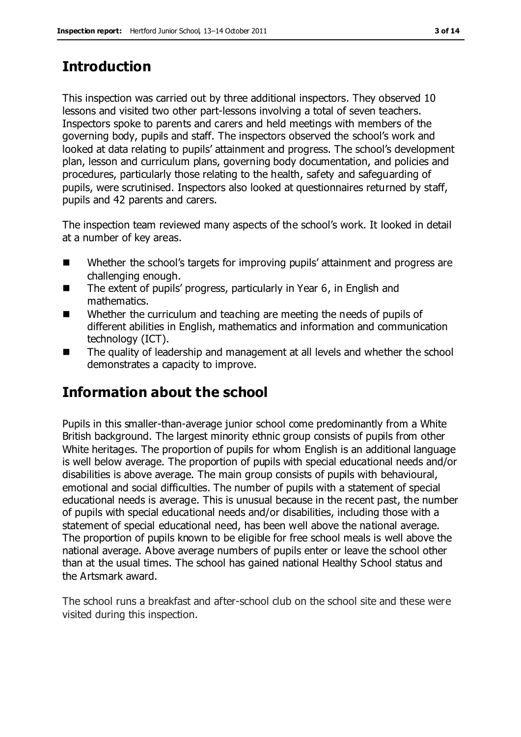# **Introduction**

This inspection was carried out by three additional inspectors. They observed 10 lessons and visited two other part-lessons involving a total of seven teachers. Inspectors spoke to parents and carers and held meetings with members of the governing body, pupils and staff. The inspectors observed the school's work and looked at data relating to pupils' attainment and progress. The school's development plan, lesson and curriculum plans, governing body documentation, and policies and procedures, particularly those relating to the health, safety and safeguarding of pupils, were scrutinised. Inspectors also looked at questionnaires returned by staff, pupils and 42 parents and carers.

The inspection team reviewed many aspects of the school's work. It looked in detail at a number of key areas.

- Whether the school's targets for improving pupils' attainment and progress are challenging enough.
- The extent of pupils' progress, particularly in Year 6, in English and mathematics.
- Whether the curriculum and teaching are meeting the needs of pupils of different abilities in English, mathematics and information and communication technology (ICT).
- The quality of leadership and management at all levels and whether the school demonstrates a capacity to improve.

# **Information about the school**

Pupils in this smaller-than-average junior school come predominantly from a White British background. The largest minority ethnic group consists of pupils from other White heritages. The proportion of pupils for whom English is an additional language is well below average. The proportion of pupils with special educational needs and/or disabilities is above average. The main group consists of pupils with behavioural, emotional and social difficulties. The number of pupils with a statement of special educational needs is average. This is unusual because in the recent past, the number of pupils with special educational needs and/or disabilities, including those with a statement of special educational need, has been well above the national average. The proportion of pupils known to be eligible for free school meals is well above the national average. Above average numbers of pupils enter or leave the school other than at the usual times. The school has gained national Healthy School status and the Artsmark award.

The school runs a breakfast and after-school club on the school site and these were visited during this inspection.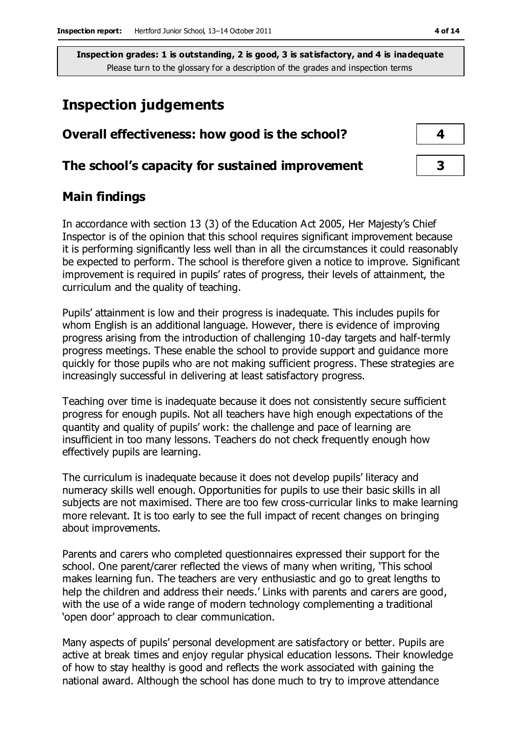# **Inspection judgements**

| Overall effectiveness: how good is the school?  |  |  |
|-------------------------------------------------|--|--|
| The school's capacity for sustained improvement |  |  |

# **Main findings**

In accordance with section 13 (3) of the Education Act 2005, Her Majesty's Chief Inspector is of the opinion that this school requires significant improvement because it is performing significantly less well than in all the circumstances it could reasonably be expected to perform. The school is therefore given a notice to improve. Significant improvement is required in pupils' rates of progress, their levels of attainment, the curriculum and the quality of teaching.

Pupils' attainment is low and their progress is inadequate. This includes pupils for whom English is an additional language. However, there is evidence of improving progress arising from the introduction of challenging 10-day targets and half-termly progress meetings. These enable the school to provide support and guidance more quickly for those pupils who are not making sufficient progress. These strategies are increasingly successful in delivering at least satisfactory progress.

Teaching over time is inadequate because it does not consistently secure sufficient progress for enough pupils. Not all teachers have high enough expectations of the quantity and quality of pupils' work: the challenge and pace of learning are insufficient in too many lessons. Teachers do not check frequently enough how effectively pupils are learning.

The curriculum is inadequate because it does not develop pupils' literacy and numeracy skills well enough. Opportunities for pupils to use their basic skills in all subjects are not maximised. There are too few cross-curricular links to make learning more relevant. It is too early to see the full impact of recent changes on bringing about improvements.

Parents and carers who completed questionnaires expressed their support for the school. One parent/carer reflected the views of many when writing, 'This school makes learning fun. The teachers are very enthusiastic and go to great lengths to help the children and address their needs.' Links with parents and carers are good, with the use of a wide range of modern technology complementing a traditional 'open door' approach to clear communication.

Many aspects of pupils' personal development are satisfactory or better. Pupils are active at break times and enjoy regular physical education lessons. Their knowledge of how to stay healthy is good and reflects the work associated with gaining the national award. Although the school has done much to try to improve attendance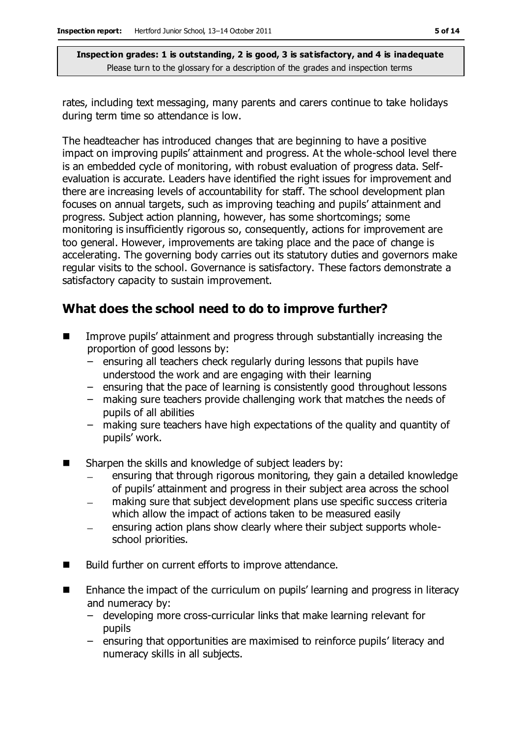rates, including text messaging, many parents and carers continue to take holidays during term time so attendance is low.

The headteacher has introduced changes that are beginning to have a positive impact on improving pupils' attainment and progress. At the whole-school level there is an embedded cycle of monitoring, with robust evaluation of progress data. Selfevaluation is accurate. Leaders have identified the right issues for improvement and there are increasing levels of accountability for staff. The school development plan focuses on annual targets, such as improving teaching and pupils' attainment and progress. Subject action planning, however, has some shortcomings; some monitoring is insufficiently rigorous so, consequently, actions for improvement are too general. However, improvements are taking place and the pace of change is accelerating. The governing body carries out its statutory duties and governors make regular visits to the school. Governance is satisfactory. These factors demonstrate a satisfactory capacity to sustain improvement.

# **What does the school need to do to improve further?**

- Improve pupils' attainment and progress through substantially increasing the proportion of good lessons by:
	- ensuring all teachers check regularly during lessons that pupils have understood the work and are engaging with their learning
	- ensuring that the pace of learning is consistently good throughout lessons
	- making sure teachers provide challenging work that matches the needs of pupils of all abilities
	- making sure teachers have high expectations of the quality and quantity of pupils' work.
- Sharpen the skills and knowledge of subject leaders by:
	- ensuring that through rigorous monitoring, they gain a detailed knowledge of pupils' attainment and progress in their subject area across the school
	- making sure that subject development plans use specific success criteria  $\frac{1}{2}$ which allow the impact of actions taken to be measured easily
	- ensuring action plans show clearly where their subject supports wholeschool priorities.
- Build further on current efforts to improve attendance.
- Enhance the impact of the curriculum on pupils' learning and progress in literacy and numeracy by:
	- developing more cross-curricular links that make learning relevant for pupils
	- ensuring that opportunities are maximised to reinforce pupils' literacy and numeracy skills in all subjects.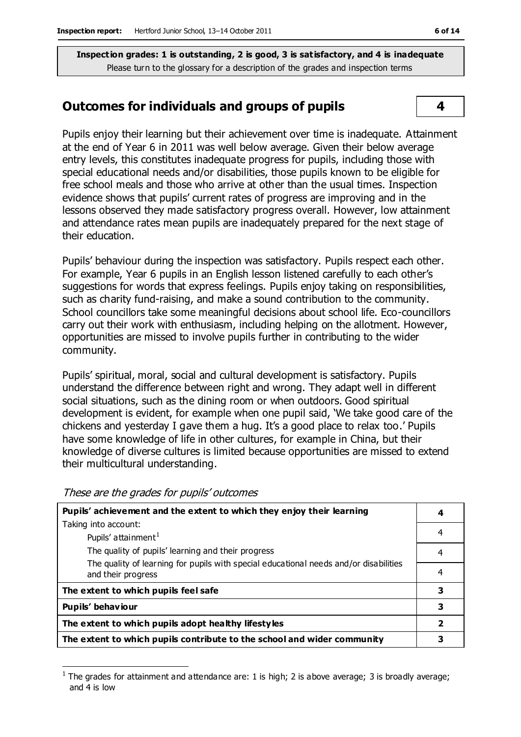### **Outcomes for individuals and groups of pupils 4**

Pupils enjoy their learning but their achievement over time is inadequate. Attainment at the end of Year 6 in 2011 was well below average. Given their below average entry levels, this constitutes inadequate progress for pupils, including those with special educational needs and/or disabilities, those pupils known to be eligible for free school meals and those who arrive at other than the usual times. Inspection evidence shows that pupils' current rates of progress are improving and in the lessons observed they made satisfactory progress overall. However, low attainment and attendance rates mean pupils are inadequately prepared for the next stage of their education.

Pupils' behaviour during the inspection was satisfactory. Pupils respect each other. For example, Year 6 pupils in an English lesson listened carefully to each other's suggestions for words that express feelings. Pupils enjoy taking on responsibilities, such as charity fund-raising, and make a sound contribution to the community. School councillors take some meaningful decisions about school life. Eco-councillors carry out their work with enthusiasm, including helping on the allotment. However, opportunities are missed to involve pupils further in contributing to the wider community.

Pupils' spiritual, moral, social and cultural development is satisfactory. Pupils understand the difference between right and wrong. They adapt well in different social situations, such as the dining room or when outdoors. Good spiritual development is evident, for example when one pupil said, 'We take good care of the chickens and yesterday I gave them a hug. It's a good place to relax too.' Pupils have some knowledge of life in other cultures, for example in China, but their knowledge of diverse cultures is limited because opportunities are missed to extend their multicultural understanding.

| Pupils' achievement and the extent to which they enjoy their learning                                       |                         |
|-------------------------------------------------------------------------------------------------------------|-------------------------|
| Taking into account:                                                                                        |                         |
| Pupils' attainment <sup>1</sup>                                                                             | 4                       |
| The quality of pupils' learning and their progress                                                          | 4                       |
| The quality of learning for pupils with special educational needs and/or disabilities<br>and their progress | 4                       |
| The extent to which pupils feel safe                                                                        | 3                       |
| Pupils' behaviour                                                                                           | 3                       |
| The extent to which pupils adopt healthy lifestyles                                                         | $\overline{\mathbf{2}}$ |
| The extent to which pupils contribute to the school and wider community                                     |                         |

These are the grades for pupils' outcomes

 $\overline{a}$ 

<sup>1</sup> The grades for attainment and attendance are: 1 is high; 2 is above average; 3 is broadly average; and 4 is low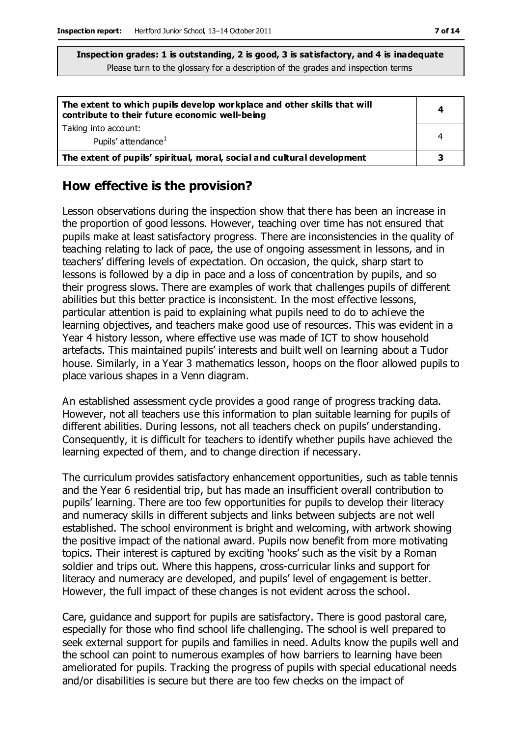| The extent to which pupils develop workplace and other skills that will<br>contribute to their future economic well-being |   |
|---------------------------------------------------------------------------------------------------------------------------|---|
| Taking into account:<br>Pupils' attendance <sup>1</sup>                                                                   |   |
| The extent of pupils' spiritual, moral, social and cultural development                                                   | 3 |

### **How effective is the provision?**

Lesson observations during the inspection show that there has been an increase in the proportion of good lessons. However, teaching over time has not ensured that pupils make at least satisfactory progress. There are inconsistencies in the quality of teaching relating to lack of pace, the use of ongoing assessment in lessons, and in teachers' differing levels of expectation. On occasion, the quick, sharp start to lessons is followed by a dip in pace and a loss of concentration by pupils, and so their progress slows. There are examples of work that challenges pupils of different abilities but this better practice is inconsistent. In the most effective lessons, particular attention is paid to explaining what pupils need to do to achieve the learning objectives, and teachers make good use of resources. This was evident in a Year 4 history lesson, where effective use was made of ICT to show household artefacts. This maintained pupils' interests and built well on learning about a Tudor house. Similarly, in a Year 3 mathematics lesson, hoops on the floor allowed pupils to place various shapes in a Venn diagram.

An established assessment cycle provides a good range of progress tracking data. However, not all teachers use this information to plan suitable learning for pupils of different abilities. During lessons, not all teachers check on pupils' understanding. Consequently, it is difficult for teachers to identify whether pupils have achieved the learning expected of them, and to change direction if necessary.

The curriculum provides satisfactory enhancement opportunities, such as table tennis and the Year 6 residential trip, but has made an insufficient overall contribution to pupils' learning. There are too few opportunities for pupils to develop their literacy and numeracy skills in different subjects and links between subjects are not well established. The school environment is bright and welcoming, with artwork showing the positive impact of the national award. Pupils now benefit from more motivating topics. Their interest is captured by exciting 'hooks' such as the visit by a Roman soldier and trips out. Where this happens, cross-curricular links and support for literacy and numeracy are developed, and pupils' level of engagement is better. However, the full impact of these changes is not evident across the school.

Care, guidance and support for pupils are satisfactory. There is good pastoral care, especially for those who find school life challenging. The school is well prepared to seek external support for pupils and families in need. Adults know the pupils well and the school can point to numerous examples of how barriers to learning have been ameliorated for pupils. Tracking the progress of pupils with special educational needs and/or disabilities is secure but there are too few checks on the impact of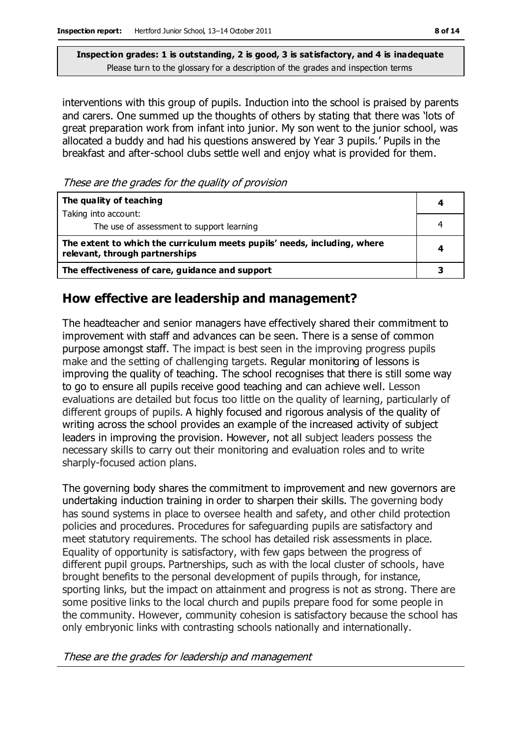interventions with this group of pupils. Induction into the school is praised by parents and carers. One summed up the thoughts of others by stating that there was 'lots of great preparation work from infant into junior. My son went to the junior school, was allocated a buddy and had his questions answered by Year 3 pupils.' Pupils in the breakfast and after-school clubs settle well and enjoy what is provided for them.

These are the grades for the quality of provision

| The quality of teaching                                                                                    | 4 |
|------------------------------------------------------------------------------------------------------------|---|
| Taking into account:                                                                                       |   |
| The use of assessment to support learning                                                                  |   |
| The extent to which the curriculum meets pupils' needs, including, where<br>relevant, through partnerships |   |
| The effectiveness of care, guidance and support                                                            |   |

# **How effective are leadership and management?**

The headteacher and senior managers have effectively shared their commitment to improvement with staff and advances can be seen. There is a sense of common purpose amongst staff. The impact is best seen in the improving progress pupils make and the setting of challenging targets. Regular monitoring of lessons is improving the quality of teaching. The school recognises that there is still some way to go to ensure all pupils receive good teaching and can achieve well. Lesson evaluations are detailed but focus too little on the quality of learning, particularly of different groups of pupils. A highly focused and rigorous analysis of the quality of writing across the school provides an example of the increased activity of subject leaders in improving the provision. However, not all subject leaders possess the necessary skills to carry out their monitoring and evaluation roles and to write sharply-focused action plans.

The governing body shares the commitment to improvement and new governors are undertaking induction training in order to sharpen their skills. The governing body has sound systems in place to oversee health and safety, and other child protection policies and procedures. Procedures for safeguarding pupils are satisfactory and meet statutory requirements. The school has detailed risk assessments in place. Equality of opportunity is satisfactory, with few gaps between the progress of different pupil groups. Partnerships, such as with the local cluster of schools, have brought benefits to the personal development of pupils through, for instance, sporting links, but the impact on attainment and progress is not as strong. There are some positive links to the local church and pupils prepare food for some people in the community. However, community cohesion is satisfactory because the school has only embryonic links with contrasting schools nationally and internationally.

These are the grades for leadership and management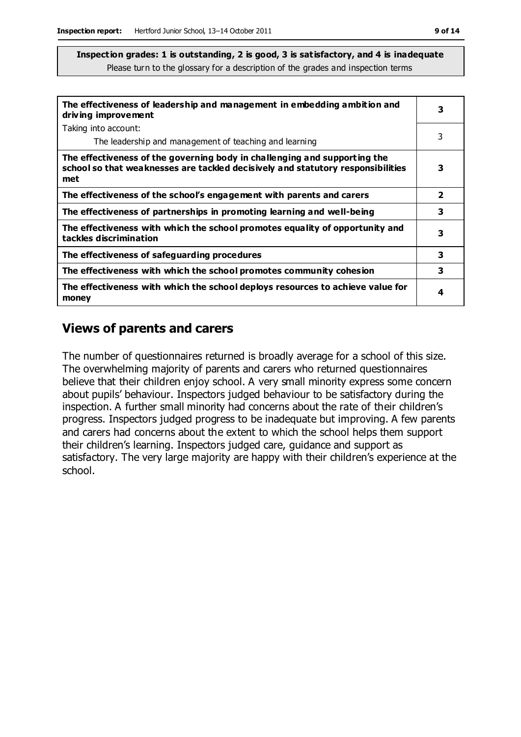| The effectiveness of leadership and management in embedding ambition and<br>driving improvement                                                                     |                |
|---------------------------------------------------------------------------------------------------------------------------------------------------------------------|----------------|
| Taking into account:                                                                                                                                                |                |
| The leadership and management of teaching and learning                                                                                                              | 3              |
| The effectiveness of the governing body in challenging and supporting the<br>school so that weaknesses are tackled decisively and statutory responsibilities<br>met | 3              |
| The effectiveness of the school's engagement with parents and carers                                                                                                | $\overline{2}$ |
| The effectiveness of partnerships in promoting learning and well-being                                                                                              | 3              |
| The effectiveness with which the school promotes equality of opportunity and<br>tackles discrimination                                                              | 3              |
| The effectiveness of safeguarding procedures                                                                                                                        | 3              |
| The effectiveness with which the school promotes community cohesion                                                                                                 | 3              |
| The effectiveness with which the school deploys resources to achieve value for<br>money                                                                             | 4              |

# **Views of parents and carers**

The number of questionnaires returned is broadly average for a school of this size. The overwhelming majority of parents and carers who returned questionnaires believe that their children enjoy school. A very small minority express some concern about pupils' behaviour. Inspectors judged behaviour to be satisfactory during the inspection. A further small minority had concerns about the rate of their children's progress. Inspectors judged progress to be inadequate but improving. A few parents and carers had concerns about the extent to which the school helps them support their children's learning. Inspectors judged care, guidance and support as satisfactory. The very large majority are happy with their children's experience at the school.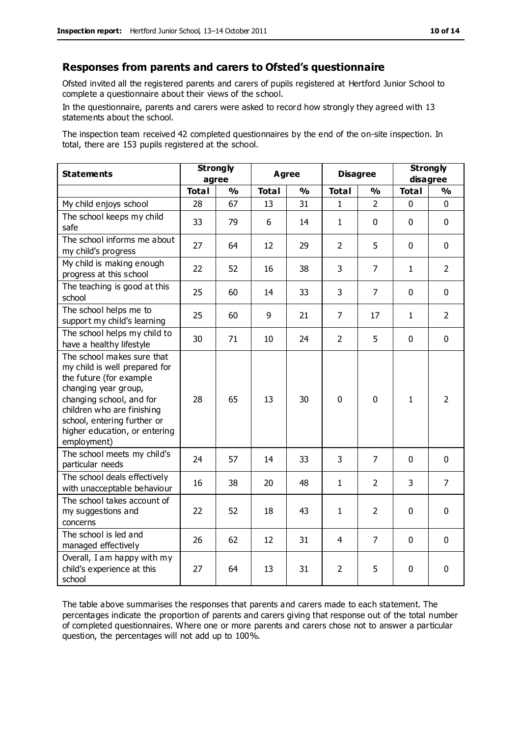#### **Responses from parents and carers to Ofsted's questionnaire**

Ofsted invited all the registered parents and carers of pupils registered at Hertford Junior School to complete a questionnaire about their views of the school.

In the questionnaire, parents and carers were asked to record how strongly they agreed with 13 statements about the school.

The inspection team received 42 completed questionnaires by the end of the on-site inspection. In total, there are 153 pupils registered at the school.

| <b>Statements</b>                                                                                                                                                                                                                                       | <b>Strongly</b><br>agree |               | Agree        |    | <b>Disagree</b> |                | <b>Strongly</b><br>disagree |                |
|---------------------------------------------------------------------------------------------------------------------------------------------------------------------------------------------------------------------------------------------------------|--------------------------|---------------|--------------|----|-----------------|----------------|-----------------------------|----------------|
|                                                                                                                                                                                                                                                         | <b>Total</b>             | $\frac{1}{2}$ | <b>Total</b> | %  | <b>Total</b>    | %              | <b>Total</b>                | %              |
| My child enjoys school                                                                                                                                                                                                                                  | 28                       | 67            | 13           | 31 | 1               | $\overline{2}$ | $\mathbf 0$                 | $\mathbf 0$    |
| The school keeps my child<br>safe                                                                                                                                                                                                                       | 33                       | 79            | 6            | 14 | 1               | $\mathbf 0$    | $\Omega$                    | $\mathbf 0$    |
| The school informs me about<br>my child's progress                                                                                                                                                                                                      | 27                       | 64            | 12           | 29 | $\overline{2}$  | 5              | $\mathbf 0$                 | $\mathbf 0$    |
| My child is making enough<br>progress at this school                                                                                                                                                                                                    | 22                       | 52            | 16           | 38 | 3               | $\overline{7}$ | 1                           | $\overline{2}$ |
| The teaching is good at this<br>school                                                                                                                                                                                                                  | 25                       | 60            | 14           | 33 | 3               | $\overline{7}$ | $\mathbf 0$                 | $\mathbf 0$    |
| The school helps me to<br>support my child's learning                                                                                                                                                                                                   | 25                       | 60            | 9            | 21 | $\overline{7}$  | 17             | $\mathbf{1}$                | $\overline{2}$ |
| The school helps my child to<br>have a healthy lifestyle                                                                                                                                                                                                | 30                       | 71            | 10           | 24 | $\overline{2}$  | 5              | $\mathbf 0$                 | $\mathbf 0$    |
| The school makes sure that<br>my child is well prepared for<br>the future (for example<br>changing year group,<br>changing school, and for<br>children who are finishing<br>school, entering further or<br>higher education, or entering<br>employment) | 28                       | 65            | 13           | 30 | 0               | $\mathbf 0$    | $\mathbf{1}$                | $\overline{2}$ |
| The school meets my child's<br>particular needs                                                                                                                                                                                                         | 24                       | 57            | 14           | 33 | 3               | $\overline{7}$ | $\mathbf{0}$                | $\mathbf 0$    |
| The school deals effectively<br>with unacceptable behaviour                                                                                                                                                                                             | 16                       | 38            | 20           | 48 | $\mathbf{1}$    | $\overline{2}$ | 3                           | $\overline{7}$ |
| The school takes account of<br>my suggestions and<br>concerns                                                                                                                                                                                           | 22                       | 52            | 18           | 43 | $\mathbf{1}$    | $\overline{2}$ | 0                           | $\mathbf 0$    |
| The school is led and<br>managed effectively                                                                                                                                                                                                            | 26                       | 62            | 12           | 31 | 4               | 7              | $\mathbf 0$                 | $\mathbf 0$    |
| Overall, I am happy with my<br>child's experience at this<br>school                                                                                                                                                                                     | 27                       | 64            | 13           | 31 | $\overline{2}$  | 5              | 0                           | $\mathbf 0$    |

The table above summarises the responses that parents and carers made to each statement. The percentages indicate the proportion of parents and carers giving that response out of the total number of completed questionnaires. Where one or more parents and carers chose not to answer a particular question, the percentages will not add up to 100%.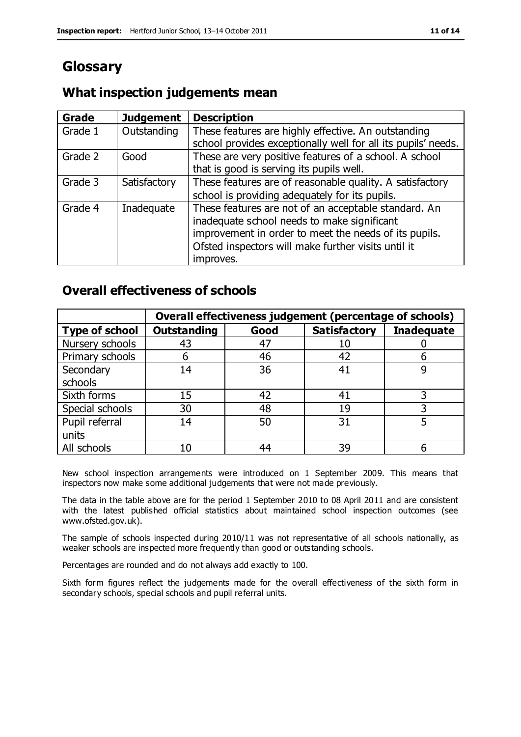# **Glossary**

# **What inspection judgements mean**

| Grade   | <b>Judgement</b> | <b>Description</b>                                                                                                                                                                                                               |
|---------|------------------|----------------------------------------------------------------------------------------------------------------------------------------------------------------------------------------------------------------------------------|
| Grade 1 | Outstanding      | These features are highly effective. An outstanding<br>school provides exceptionally well for all its pupils' needs.                                                                                                             |
| Grade 2 | Good             | These are very positive features of a school. A school<br>that is good is serving its pupils well.                                                                                                                               |
| Grade 3 | Satisfactory     | These features are of reasonable quality. A satisfactory<br>school is providing adequately for its pupils.                                                                                                                       |
| Grade 4 | Inadequate       | These features are not of an acceptable standard. An<br>inadequate school needs to make significant<br>improvement in order to meet the needs of its pupils.<br>Ofsted inspectors will make further visits until it<br>improves. |

# **Overall effectiveness of schools**

|                       |                    |      | Overall effectiveness judgement (percentage of schools) |                   |
|-----------------------|--------------------|------|---------------------------------------------------------|-------------------|
| <b>Type of school</b> | <b>Outstanding</b> | Good | <b>Satisfactory</b>                                     | <b>Inadequate</b> |
| Nursery schools       | 43                 | 47   |                                                         |                   |
| Primary schools       | h                  | 46   | 42                                                      |                   |
| Secondary             | 14                 | 36   | 41                                                      |                   |
| schools               |                    |      |                                                         |                   |
| Sixth forms           | 15                 | 42   | 41                                                      | 3                 |
| Special schools       | 30                 | 48   | 19                                                      |                   |
| Pupil referral        | 14                 | 50   | 31                                                      |                   |
| units                 |                    |      |                                                         |                   |
| All schools           | 10                 | 44   | 39                                                      |                   |

New school inspection arrangements were introduced on 1 September 2009. This means that inspectors now make some additional judgements that were not made previously.

The data in the table above are for the period 1 September 2010 to 08 April 2011 and are consistent with the latest published official statistics about maintained school inspection outcomes (see www.ofsted.gov.uk).

The sample of schools inspected during 2010/11 was not representative of all schools nationally, as weaker schools are inspected more frequently than good or outstanding schools.

Percentages are rounded and do not always add exactly to 100.

Sixth form figures reflect the judgements made for the overall effectiveness of the sixth form in secondary schools, special schools and pupil referral units.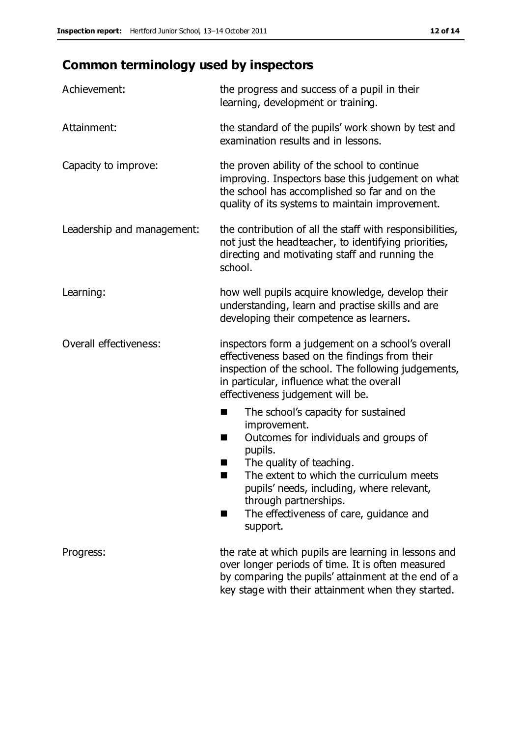# **Common terminology used by inspectors**

| Achievement:                  | the progress and success of a pupil in their<br>learning, development or training.                                                                                                                                                                                                                                           |  |  |
|-------------------------------|------------------------------------------------------------------------------------------------------------------------------------------------------------------------------------------------------------------------------------------------------------------------------------------------------------------------------|--|--|
| Attainment:                   | the standard of the pupils' work shown by test and<br>examination results and in lessons.                                                                                                                                                                                                                                    |  |  |
| Capacity to improve:          | the proven ability of the school to continue<br>improving. Inspectors base this judgement on what<br>the school has accomplished so far and on the<br>quality of its systems to maintain improvement.                                                                                                                        |  |  |
| Leadership and management:    | the contribution of all the staff with responsibilities,<br>not just the headteacher, to identifying priorities,<br>directing and motivating staff and running the<br>school.                                                                                                                                                |  |  |
| Learning:                     | how well pupils acquire knowledge, develop their<br>understanding, learn and practise skills and are<br>developing their competence as learners.                                                                                                                                                                             |  |  |
| <b>Overall effectiveness:</b> | inspectors form a judgement on a school's overall<br>effectiveness based on the findings from their<br>inspection of the school. The following judgements,<br>in particular, influence what the overall<br>effectiveness judgement will be.                                                                                  |  |  |
|                               | The school's capacity for sustained<br>■<br>improvement.<br>Outcomes for individuals and groups of<br>H<br>pupils.<br>The quality of teaching.<br>The extent to which the curriculum meets<br>pupils' needs, including, where relevant,<br>through partnerships.<br>The effectiveness of care, guidance and<br>٠<br>support. |  |  |
| Progress:                     | the rate at which pupils are learning in lessons and<br>over longer periods of time. It is often measured<br>by comparing the pupils' attainment at the end of a<br>key stage with their attainment when they started.                                                                                                       |  |  |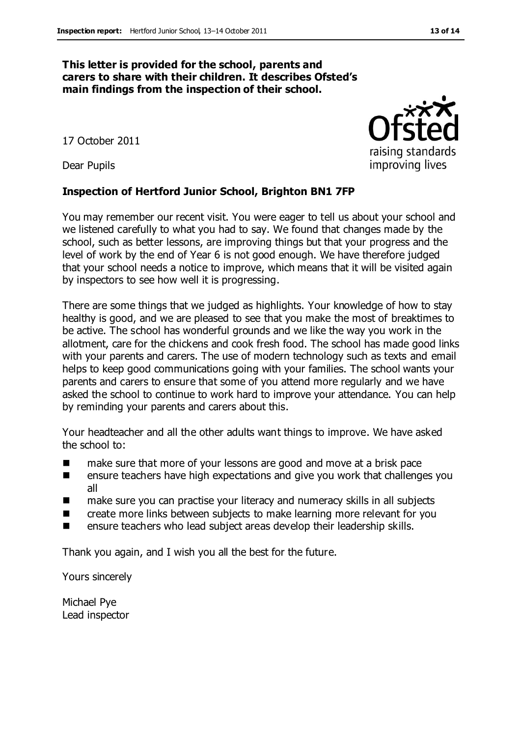#### **This letter is provided for the school, parents and carers to share with their children. It describes Ofsted's main findings from the inspection of their school.**

17 October 2011

Dear Pupils

#### **Inspection of Hertford Junior School, Brighton BN1 7FP**

You may remember our recent visit. You were eager to tell us about your school and we listened carefully to what you had to say. We found that changes made by the school, such as better lessons, are improving things but that your progress and the level of work by the end of Year 6 is not good enough. We have therefore judged that your school needs a notice to improve, which means that it will be visited again by inspectors to see how well it is progressing.

There are some things that we judged as highlights. Your knowledge of how to stay healthy is good, and we are pleased to see that you make the most of breaktimes to be active. The school has wonderful grounds and we like the way you work in the allotment, care for the chickens and cook fresh food. The school has made good links with your parents and carers. The use of modern technology such as texts and email helps to keep good communications going with your families. The school wants your parents and carers to ensure that some of you attend more regularly and we have asked the school to continue to work hard to improve your attendance. You can help by reminding your parents and carers about this.

Your headteacher and all the other adults want things to improve. We have asked the school to:

- make sure that more of your lessons are good and move at a brisk pace
- **EXECUTE:** ensure teachers have high expectations and give you work that challenges you all
- make sure you can practise your literacy and numeracy skills in all subjects
- **EXECR** create more links between subjects to make learning more relevant for you
- **EXECUTE:** ensure teachers who lead subject areas develop their leadership skills.

Thank you again, and I wish you all the best for the future.

Yours sincerely

Michael Pye Lead inspector